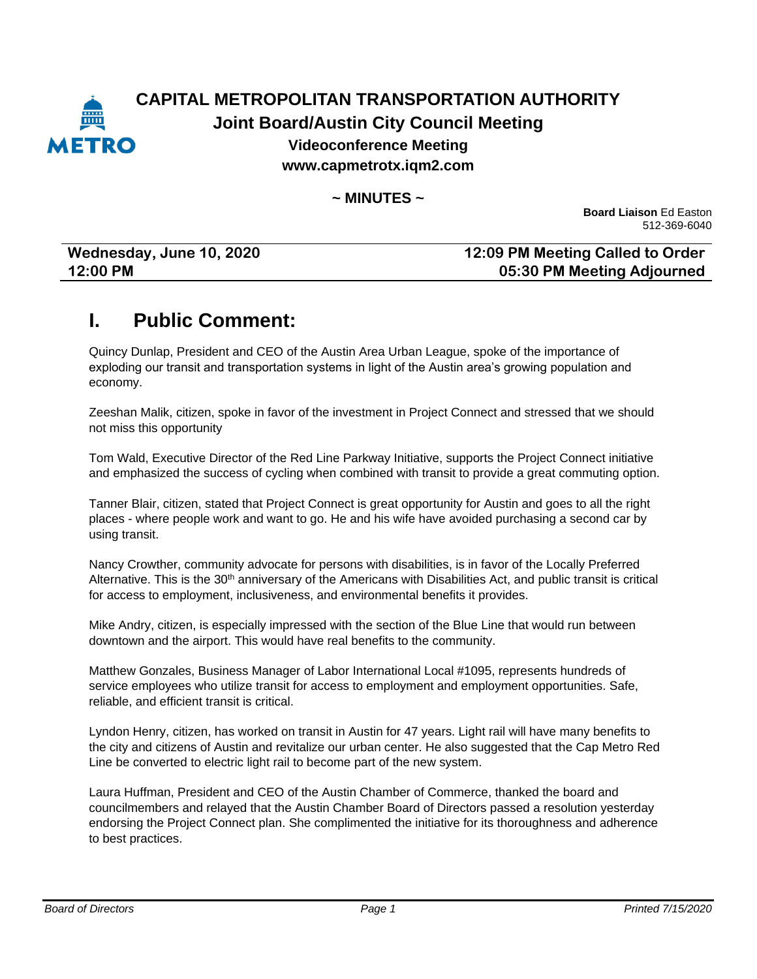

### **CAPITAL METROPOLITAN TRANSPORTATION AUTHORITY Joint Board/Austin City Council Meeting Videoconference Meeting www.capmetrotx.iqm2.com**

#### **~ MINUTES ~**

**Board Liaison** Ed Easton 512-369-6040

| Wednesday, June 10, 2020 | 12:09 PM Meeting Called to Order |
|--------------------------|----------------------------------|
| 12:00 PM                 | 05:30 PM Meeting Adjourned       |

### **I. Public Comment:**

Quincy Dunlap, President and CEO of the Austin Area Urban League, spoke of the importance of exploding our transit and transportation systems in light of the Austin area's growing population and economy.

Zeeshan Malik, citizen, spoke in favor of the investment in Project Connect and stressed that we should not miss this opportunity

Tom Wald, Executive Director of the Red Line Parkway Initiative, supports the Project Connect initiative and emphasized the success of cycling when combined with transit to provide a great commuting option.

Tanner Blair, citizen, stated that Project Connect is great opportunity for Austin and goes to all the right places - where people work and want to go. He and his wife have avoided purchasing a second car by using transit.

Nancy Crowther, community advocate for persons with disabilities, is in favor of the Locally Preferred Alternative. This is the 30<sup>th</sup> anniversary of the Americans with Disabilities Act, and public transit is critical for access to employment, inclusiveness, and environmental benefits it provides.

Mike Andry, citizen, is especially impressed with the section of the Blue Line that would run between downtown and the airport. This would have real benefits to the community.

Matthew Gonzales, Business Manager of Labor International Local #1095, represents hundreds of service employees who utilize transit for access to employment and employment opportunities. Safe, reliable, and efficient transit is critical.

Lyndon Henry, citizen, has worked on transit in Austin for 47 years. Light rail will have many benefits to the city and citizens of Austin and revitalize our urban center. He also suggested that the Cap Metro Red Line be converted to electric light rail to become part of the new system.

Laura Huffman, President and CEO of the Austin Chamber of Commerce, thanked the board and councilmembers and relayed that the Austin Chamber Board of Directors passed a resolution yesterday endorsing the Project Connect plan. She complimented the initiative for its thoroughness and adherence to best practices.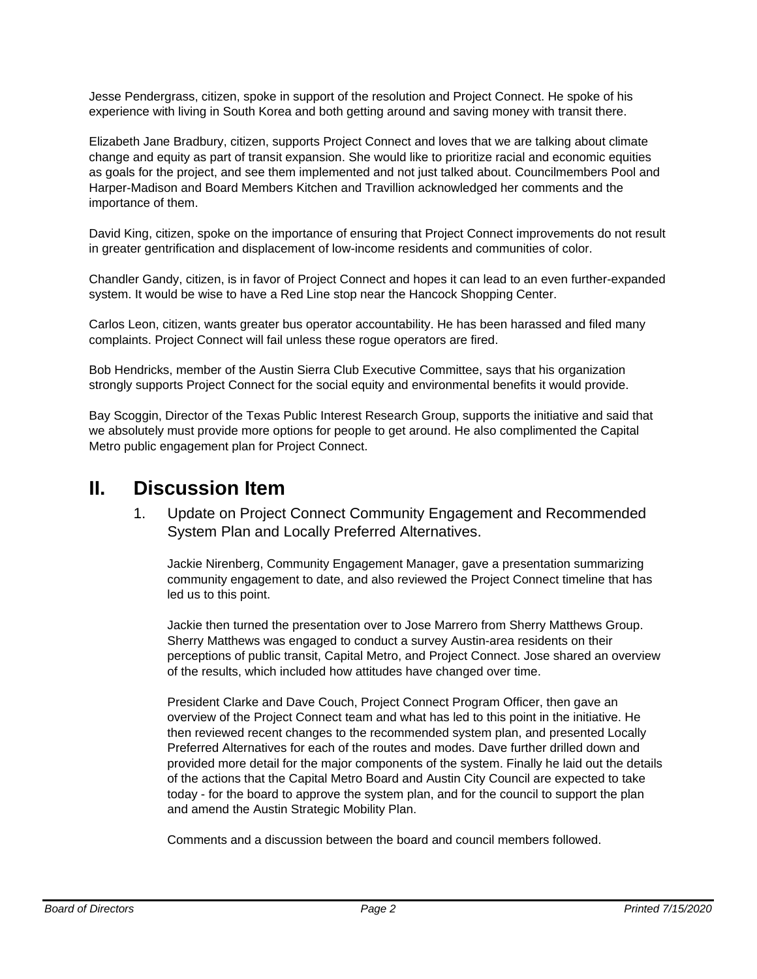Jesse Pendergrass, citizen, spoke in support of the resolution and Project Connect. He spoke of his experience with living in South Korea and both getting around and saving money with transit there.

Elizabeth Jane Bradbury, citizen, supports Project Connect and loves that we are talking about climate change and equity as part of transit expansion. She would like to prioritize racial and economic equities as goals for the project, and see them implemented and not just talked about. Councilmembers Pool and Harper-Madison and Board Members Kitchen and Travillion acknowledged her comments and the importance of them.

David King, citizen, spoke on the importance of ensuring that Project Connect improvements do not result in greater gentrification and displacement of low-income residents and communities of color.

Chandler Gandy, citizen, is in favor of Project Connect and hopes it can lead to an even further-expanded system. It would be wise to have a Red Line stop near the Hancock Shopping Center.

Carlos Leon, citizen, wants greater bus operator accountability. He has been harassed and filed many complaints. Project Connect will fail unless these rogue operators are fired.

Bob Hendricks, member of the Austin Sierra Club Executive Committee, says that his organization strongly supports Project Connect for the social equity and environmental benefits it would provide.

Bay Scoggin, Director of the Texas Public Interest Research Group, supports the initiative and said that we absolutely must provide more options for people to get around. He also complimented the Capital Metro public engagement plan for Project Connect.

### **II. Discussion Item**

1. Update on Project Connect Community Engagement and Recommended System Plan and Locally Preferred Alternatives.

Jackie Nirenberg, Community Engagement Manager, gave a presentation summarizing community engagement to date, and also reviewed the Project Connect timeline that has led us to this point.

Jackie then turned the presentation over to Jose Marrero from Sherry Matthews Group. Sherry Matthews was engaged to conduct a survey Austin-area residents on their perceptions of public transit, Capital Metro, and Project Connect. Jose shared an overview of the results, which included how attitudes have changed over time.

President Clarke and Dave Couch, Project Connect Program Officer, then gave an overview of the Project Connect team and what has led to this point in the initiative. He then reviewed recent changes to the recommended system plan, and presented Locally Preferred Alternatives for each of the routes and modes. Dave further drilled down and provided more detail for the major components of the system. Finally he laid out the details of the actions that the Capital Metro Board and Austin City Council are expected to take today - for the board to approve the system plan, and for the council to support the plan and amend the Austin Strategic Mobility Plan.

Comments and a discussion between the board and council members followed.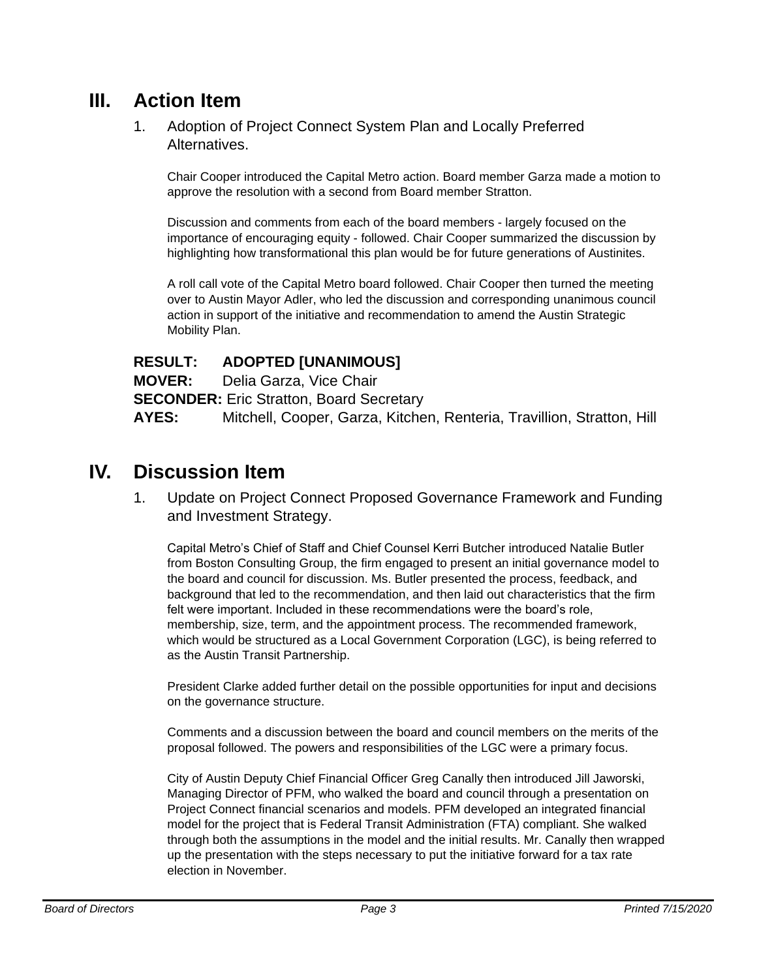## **III. Action Item**

1. Adoption of Project Connect System Plan and Locally Preferred Alternatives.

Chair Cooper introduced the Capital Metro action. Board member Garza made a motion to approve the resolution with a second from Board member Stratton.

Discussion and comments from each of the board members - largely focused on the importance of encouraging equity - followed. Chair Cooper summarized the discussion by highlighting how transformational this plan would be for future generations of Austinites.

A roll call vote of the Capital Metro board followed. Chair Cooper then turned the meeting over to Austin Mayor Adler, who led the discussion and corresponding unanimous council action in support of the initiative and recommendation to amend the Austin Strategic Mobility Plan.

#### **RESULT: ADOPTED [UNANIMOUS]**

**MOVER:** Delia Garza, Vice Chair

**SECONDER:** Eric Stratton, Board Secretary

**AYES:** Mitchell, Cooper, Garza, Kitchen, Renteria, Travillion, Stratton, Hill

## **IV. Discussion Item**

1. Update on Project Connect Proposed Governance Framework and Funding and Investment Strategy.

Capital Metro's Chief of Staff and Chief Counsel Kerri Butcher introduced Natalie Butler from Boston Consulting Group, the firm engaged to present an initial governance model to the board and council for discussion. Ms. Butler presented the process, feedback, and background that led to the recommendation, and then laid out characteristics that the firm felt were important. Included in these recommendations were the board's role, membership, size, term, and the appointment process. The recommended framework, which would be structured as a Local Government Corporation (LGC), is being referred to as the Austin Transit Partnership.

President Clarke added further detail on the possible opportunities for input and decisions on the governance structure.

Comments and a discussion between the board and council members on the merits of the proposal followed. The powers and responsibilities of the LGC were a primary focus.

City of Austin Deputy Chief Financial Officer Greg Canally then introduced Jill Jaworski, Managing Director of PFM, who walked the board and council through a presentation on Project Connect financial scenarios and models. PFM developed an integrated financial model for the project that is Federal Transit Administration (FTA) compliant. She walked through both the assumptions in the model and the initial results. Mr. Canally then wrapped up the presentation with the steps necessary to put the initiative forward for a tax rate election in November.